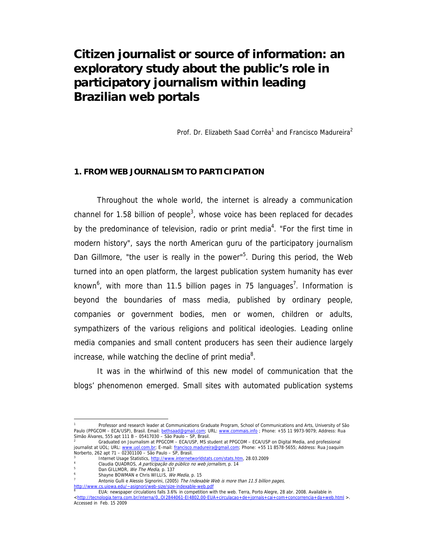# **Citizen journalist or source of information: an exploratory study about the public's role in participatory journalism within leading Brazilian web portals**

Prof. Dr. Elizabeth Saad Corrêa<sup>1</sup> and Francisco Madureira<sup>2</sup>

## **1. FROM WEB JOURNALISM TO PARTICIPATION**

Throughout the whole world, the internet is already a communication channel for 1.58 billion of people<sup>3</sup>, whose voice has been replaced for decades by the predominance of television, radio or print media<sup>4</sup>. "For the first time in modern history", says the north American guru of the participatory journalism Dan Gillmore, "the user is really in the power"<sup>5</sup>. During this period, the Web turned into an open platform, the largest publication system humanity has ever known<sup>6</sup>, with more than 11.5 billion pages in 75 languages<sup>7</sup>. Information is beyond the boundaries of mass media, published by ordinary people, companies or government bodies, men or women, children or adults, sympathizers of the various religions and political ideologies. Leading online media companies and small content producers has seen their audience largely increase, while watching the decline of print media<sup>8</sup>.

It was in the whirlwind of this new model of communication that the blogs' phenomenon emerged. Small sites with automated publication systems

<sup>1</sup> Professor and research leader at Communications Graduate Program, School of Communications and Arts, University of São Paulo (PPGCOM – ECA/USP), Brasil. Email: bethsaad@gmail.com; URL: www.commais.info ; Phone: +55 11 9973-9079; Address: Rua Simão Álvares, 555 apt 111 B – 05417030 – São Paulo – SP, Brasil.

<sup>2</sup> Graduated on Journalism at PPGCOM – ECA/USP, MS student at PPGCOM – ECA/USP on Digital Media, and professional journalist at UOL; URL: www.uol.com.br; E-mail: francisco.madureira@gmail.com; Phone: +55 11 8578-5655; Address: Rua Joaquim Norberto, 262 apt 71 – 02301100 – São Paulo – SP, Brasil.

<sup>3</sup> Internet Usage Statistics, http://www.internetworldstats.com/stats.htm, 28.03.2009

Claudia QUADROS, *A participação do público no web jornalism*, p. 14

<sup>&</sup>lt;sup>5</sup> Dan GILLMOR, *We The Media,* p. 137<br>6 6 Shayne BOWMAN e Chris WILLIS, *We Media*, p. 15<br><sup>7</sup> Antonio Culli o Noscio Signorini (2005), *The Indox* 

Antonio Gulli e Alessio Signorini, (2005) The Indexable Web is more than 11.5 billion pages,

http://www.cs.uiowa.edu/~asignori/web-size/size-indexable-web.pdf<br><sup>8</sup> [14] File rewspaper significans falls 2.4% in competition wit

EUA: newspaper circulations falls 3.6% in competition with the web. Terra, Porto Alegre, 28 abr. 2008. Available in <http://tecnologia.terra.com.br/interna/0,,OI2844061-EI4802,00-EUA+circulacao+de+jornais+cai+com+concorrencia+da+web.html >. Accessed in Feb. 15 2009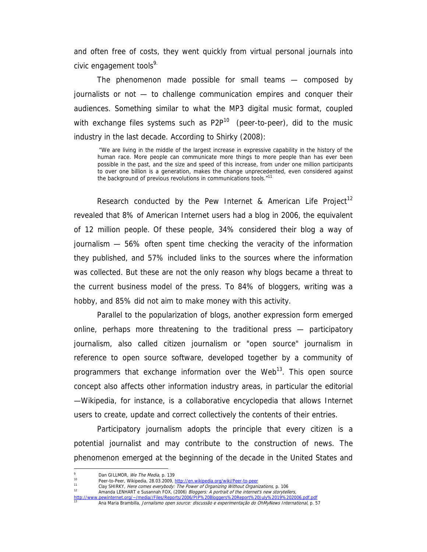and often free of costs, they went quickly from virtual personal journals into civic engagement tools<sup>9.</sup>

The phenomenon made possible for small teams — composed by journalists or not — to challenge communication empires and conquer their audiences. Something similar to what the MP3 digital music format, coupled with exchange files systems such as  $P2P^{10}$  (peer-to-peer), did to the music industry in the last decade. According to Shirky (2008):

 "We are living in the middle of the largest increase in expressive capability in the history of the human race. More people can communicate more things to more people than has ever been possible in the past, and the size and speed of this increase, from under one million participants to over one billion is a generation, makes the change unprecedented, even considered against the background of previous revolutions in communications tools."<sup>11</sup>

Research conducted by the Pew Internet & American Life Project<sup>12</sup> revealed that 8% of American Internet users had a blog in 2006, the equivalent of 12 million people. Of these people, 34% considered their blog a way of journalism — 56% often spent time checking the veracity of the information they published, and 57% included links to the sources where the information was collected. But these are not the only reason why blogs became a threat to the current business model of the press. To 84% of bloggers, writing was a hobby, and 85% did not aim to make money with this activity.

Parallel to the popularization of blogs, another expression form emerged online, perhaps more threatening to the traditional press — participatory journalism, also called citizen journalism or "open source" journalism in reference to open source software, developed together by a community of programmers that exchange information over the Web<sup>13</sup>. This open source concept also affects other information industry areas, in particular the editorial —Wikipedia, for instance, is a collaborative encyclopedia that allows Internet users to create, update and correct collectively the contents of their entries.

Participatory journalism adopts the principle that every citizen is a potential journalist and may contribute to the construction of news. The phenomenon emerged at the beginning of the decade in the United States and

 $\overline{a}$ 

12 Clay SHIRKY, Here comes everybody: The Power of Organizing Without Organizations, p. 106 12 Amanda LENHART e Susannah FOX, (2006) *Bloggers: A portrait of the internet's new storytellers*, http://www.pewinternet.org/~/media//Files/Reports/2006/PIP%20Bloggers%20Report%20July%2019%202006.pdf.pdf

<sup>9</sup>

<sup>&</sup>lt;sup>9</sup> Dan GILLMOR, *We The Media*, p. 139<br><sup>10</sup> Peer-to-Peer, Wikipedia, 28.03.2009, <u>http://en.wikipedia.org/wiki/Peer-to-peer</u><br><sup>11</sup> Clay SHIRKY, *Here comes everybody: The Power of Organizing Without Organizations,* p. 106

<sup>13</sup> Ana Maria Brambilla, Jornalismo open source: discussão e experimentação do OhMyNews International, p. 57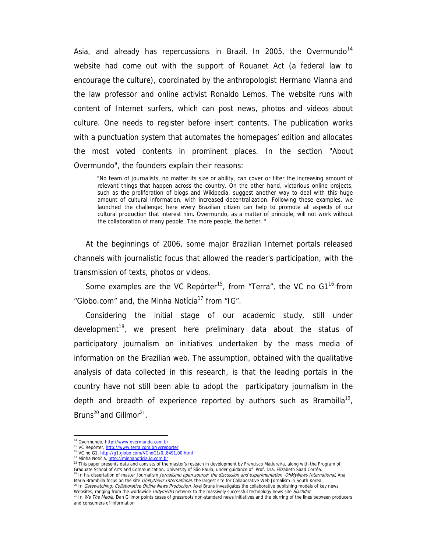Asia, and already has repercussions in Brazil. In 2005, the Overmundo<sup>14</sup> website had come out with the support of Rouanet Act (a federal law to encourage the culture), coordinated by the anthropologist Hermano Vianna and the law professor and online activist Ronaldo Lemos. The website runs with content of Internet surfers, which can post news, photos and videos about culture. One needs to register before insert contents. The publication works with a punctuation system that automates the homepages' edition and allocates the most voted contents in prominent places. In the section "About Overmundo", the founders explain their reasons:

"No team of journalists, no matter its size or ability, can cover or filter the increasing amount of relevant things that happen across the country. On the other hand, victorious online projects, such as the proliferation of blogs and Wikipedia, suggest another way to deal with this huge amount of cultural information, with increased decentralization. Following these examples, we launched the challenge: here every Brazilian citizen can help to promote all aspects of our cultural production that interest him. Overmundo, as a matter of principle, will not work without the collaboration of many people. The more people, the better. "

At the beginnings of 2006, some major Brazilian Internet portals released channels with journalistic focus that allowed the reader's participation, with the transmission of texts, photos or videos.

Some examples are the VC Repórter<sup>15</sup>, from "Terra", the VC no  $G1^{16}$  from "Globo.com" and, the Minha Notícia<sup>17</sup> from "IG".

Considering the initial stage of our academic study, still under development<sup>18</sup>, we present here preliminary data about the status of participatory journalism on initiatives undertaken by the mass media of information on the Brazilian web. The assumption, obtained with the qualitative analysis of data collected in this research, is that the leading portals in the country have not still been able to adopt the participatory journalism in the depth and breadth of experience reported by authors such as Brambilla<sup>19</sup>, Bruns<sup>20</sup> and Gillmor<sup>21</sup>.

<sup>&</sup>lt;sup>14</sup> Overmundo, http://www.overmundo.com.br

<sup>15</sup> VC Repórter, http://www.terra.com.br/vcreporter

<sup>16</sup> VC no G1, http://g1.globo.com/VCnoG1/0,,8491,00.html

<sup>17</sup> Minha Notícia, http://minhanoticia.ig.com.br

<sup>&</sup>lt;sup>18</sup> This paper presents data and consists of the master's reseach in development by Francisco Madureira, along with the Program of Graduate School of Arts and Communication, University of São Paulo, under guidance of Prof. Dra. Elizabeth Saad Corrêa. <sup>19</sup> In his dissertation of master Journalism Jornalismo open source: the discussion and experimentation OhMyNews International, Ana

Maria Brambilla focus on the site *OhllyNews International*, the largest site for Collaborative Web Jornalism in South Korea.<br><sup>20</sup> In *Gatewatching: Collaborative Online News Production*, Axel Bruns investigates the collab

<sup>&</sup>lt;sup>21</sup> In *We The Media*, Dan Gillmor points cases of grassroots non-standard news initiatives and the blurring of the lines between producers and consumers of information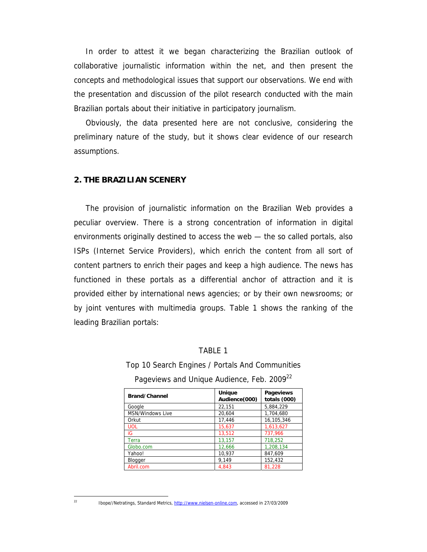In order to attest it we began characterizing the Brazilian outlook of collaborative journalistic information within the net, and then present the concepts and methodological issues that support our observations. We end with the presentation and discussion of the pilot research conducted with the main Brazilian portals about their initiative in participatory journalism.

Obviously, the data presented here are not conclusive, considering the preliminary nature of the study, but it shows clear evidence of our research assumptions.

## **2. THE BRAZILIAN SCENERY**

The provision of journalistic information on the Brazilian Web provides a peculiar overview. There is a strong concentration of information in digital environments originally destined to access the web — the so called portals, also ISPs (Internet Service Providers), which enrich the content from all sort of content partners to enrich their pages and keep a high audience. The news has functioned in these portals as a differential anchor of attraction and it is provided either by international news agencies; or by their own newsrooms; or by joint ventures with multimedia groups. Table 1 shows the ranking of the leading Brazilian portals:

#### TABLE 1

Top 10 Search Engines / Portals And Communities

| Brand/Channel           | Unique<br>Audience(000) | <b>Pageviews</b><br>totals (000) |  |
|-------------------------|-------------------------|----------------------------------|--|
| Google                  | 22,151                  | 5.884.229                        |  |
| <b>MSN/Windows Live</b> | 20.604                  | 1.704.680                        |  |
| Orkut                   | 17.446                  | 16,105,346                       |  |
| <b>UOL</b>              | 15,637                  | 1,613,627                        |  |
| iG                      | 13,512                  | 737.966                          |  |
| Terra                   | 13,157                  | 718,252                          |  |
| Globo.com               | 12,666                  | 1,208,134                        |  |
| Yahoo!                  | 10,937                  | 847,609                          |  |
| Blogger                 | 9.149                   | 152,432                          |  |
| Abril.com               | 4.843                   | 81.228                           |  |

Pageviews and Unique Audience, Feb. 2009<sup>22</sup>

 $\overline{\mathfrak{D}}$ 

Ibope//Netratings, Standard Metrics, http://www.nielsen-online.com, accessed in 27/03/2009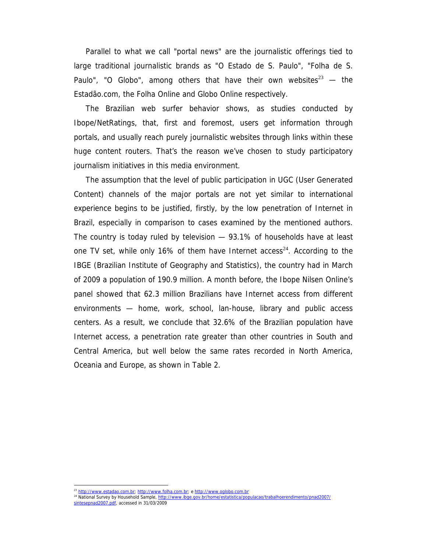Parallel to what we call "portal news" are the journalistic offerings tied to large traditional journalistic brands as "O Estado de S. Paulo", "Folha de S. Paulo", "O Globo", among others that have their own websites<sup>23</sup> — the Estadão.com, the Folha Online and Globo Online respectively.

The Brazilian web surfer behavior shows, as studies conducted by Ibope/NetRatings, that, first and foremost, users get information through portals, and usually reach purely journalistic websites through links within these huge content routers. That's the reason we've chosen to study participatory journalism initiatives in this media environment.

The assumption that the level of public participation in UGC (User Generated Content) channels of the major portals are not yet similar to international experience begins to be justified, firstly, by the low penetration of Internet in Brazil, especially in comparison to cases examined by the mentioned authors. The country is today ruled by television — 93.1% of households have at least one TV set, while only 16% of them have Internet access<sup>24</sup>. According to the IBGE (Brazilian Institute of Geography and Statistics), the country had in March of 2009 a population of 190.9 million. A month before, the Ibope Nilsen Online's panel showed that 62.3 million Brazilians have Internet access from different environments — home, work, school, lan-house, library and public access centers. As a result, we conclude that 32.6% of the Brazilian population have Internet access, a penetration rate greater than other countries in South and Central America, but well below the same rates recorded in North America, Oceania and Europe, as shown in Table 2.

 <sup>23</sup> http://www.estadao.com.br; http://www.folha.com.br; e http://www.oglobo.com.br

<sup>24</sup> National Survey by Household Sample, http://www.ibge.gov.br/home/estatistica/populacao/trabalhoerendimento/pnad2007/ sintesepnad2007.pdf, accessed in 31/03/2009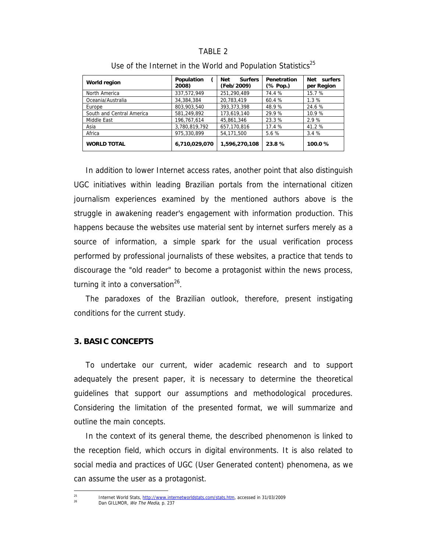## TABLE 2

| <b>World region</b>       | Population<br>2008) | <b>Surfers</b><br><b>Net</b><br>(Feb/2009) | Penetration<br>(% Pop.) | surfers<br>Net<br>per Region |
|---------------------------|---------------------|--------------------------------------------|-------------------------|------------------------------|
| North America             | 337,572,949         | 251.290.489                                | 74.4 %                  | 15.7 %                       |
| Oceania/Australia         | 34,384,384          | 20.783.419                                 | 60.4 %                  | 1.3%                         |
| Europe                    | 803.903.540         | 393.373.398                                | 48.9%                   | 24.6 %                       |
| South and Central America | 581.249.892         | 173.619.140                                | 29.9%                   | 10.9%                        |
| Middle East               | 196.767.614         | 45.861.346                                 | 23.3 %                  | 2.9 %                        |
| Asia                      | 3,780,819,792       | 657.170.816                                | 17.4 %                  | 41.2 %                       |
| Africa                    | 975,330,899         | 54,171,500                                 | 5.6 %                   | 3.4%                         |
| <b>WORLD TOTAL</b>        | 6,710,029,070       | 1,596,270,108                              | 23.8%                   | 100.0%                       |

Use of the Internet in the World and Population Statistics<sup>25</sup>

In addition to lower Internet access rates, another point that also distinguish UGC initiatives within leading Brazilian portals from the international citizen journalism experiences examined by the mentioned authors above is the struggle in awakening reader's engagement with information production. This happens because the websites use material sent by internet surfers merely as a source of information, a simple spark for the usual verification process performed by professional journalists of these websites, a practice that tends to discourage the "old reader" to become a protagonist within the news process, turning it into a conversation $26$ .

The paradoxes of the Brazilian outlook, therefore, present instigating conditions for the current study.

## **3. BASIC CONCEPTS**

To undertake our current, wider academic research and to support adequately the present paper, it is necessary to determine the theoretical guidelines that support our assumptions and methodological procedures. Considering the limitation of the presented format, we will summarize and outline the main concepts.

In the context of its general theme, the described phenomenon is linked to the reception field, which occurs in digital environments. It is also related to social media and practices of UGC (User Generated content) phenomena, as we can assume the user as a protagonist.

<sup>&</sup>lt;sup>25</sup> Internet World Stats, http://www.internetworldstats.com/stats.htm, accessed in 31/03/2009<br>Dan GILLMOR, *We The Media*, p. 237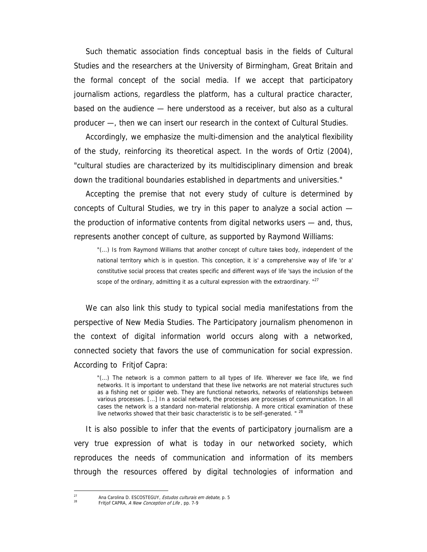Such thematic association finds conceptual basis in the fields of Cultural Studies and the researchers at the University of Birmingham, Great Britain and the formal concept of the social media. If we accept that participatory journalism actions, regardless the platform, has a cultural practice character, based on the audience — here understood as a receiver, but also as a cultural producer —, then we can insert our research in the context of Cultural Studies.

Accordingly, we emphasize the multi-dimension and the analytical flexibility of the study, reinforcing its theoretical aspect. In the words of Ortiz (2004), "cultural studies are characterized by its multidisciplinary dimension and break down the traditional boundaries established in departments and universities."

Accepting the premise that not every study of culture is determined by concepts of Cultural Studies, we try in this paper to analyze a social action the production of informative contents from digital networks users — and, thus, represents another concept of culture, as supported by Raymond Williams:

"(...) Is from Raymond Williams that another concept of culture takes body, independent of the national territory which is in question. This conception, it is' a comprehensive way of life 'or a' constitutive social process that creates specific and different ways of life 'says the inclusion of the scope of the ordinary, admitting it as a cultural expression with the extraordinary.  $"^{27}$ 

We can also link this study to typical social media manifestations from the perspective of New Media Studies. The Participatory journalism phenomenon in the context of digital information world occurs along with a networked, connected society that favors the use of communication for social expression. According to Fritjof Capra:

"(...) The network is a common pattern to all types of life. Wherever we face life, we find networks. It is important to understand that these live networks are not material structures such as a fishing net or spider web. They are functional networks, networks of relationships between various processes. [...] In a social network, the processes are processes of communication. In all cases the network is a standard non-material relationship. A more critical examination of these live networks showed that their basic characteristic is to be self-generated. " $2$ 

It is also possible to infer that the events of participatory journalism are a very true expression of what is today in our networked society, which reproduces the needs of communication and information of its members through the resources offered by digital technologies of information and

<sup>&</sup>lt;sup>27</sup> Ana Carolina D. ESCOSTEGUY, *Estudos culturais em debate*, p. 5<br><sup>28</sup> Fritjof CAPRA, *A New Conception of Life* , pp. 7-9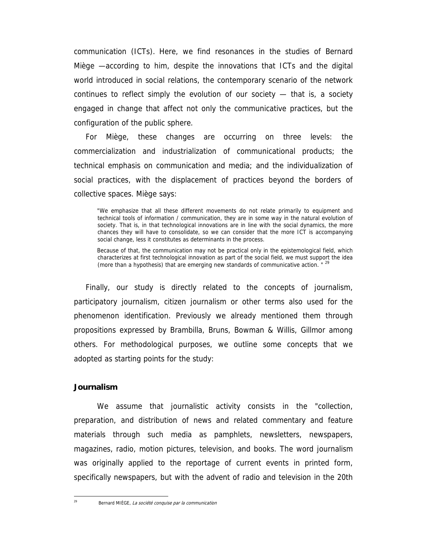communication (ICTs). Here, we find resonances in the studies of Bernard Miège —according to him, despite the innovations that ICTs and the digital world introduced in social relations, the contemporary scenario of the network continues to reflect simply the evolution of our society — that is, a society engaged in change that affect not only the communicative practices, but the configuration of the public sphere.

For Miège, these changes are occurring on three levels: the commercialization and industrialization of communicational products; the technical emphasis on communication and media; and the individualization of social practices, with the displacement of practices beyond the borders of collective spaces. Miège says:

"We emphasize that all these different movements do not relate primarily to equipment and technical tools of information / communication, they are in some way in the natural evolution of society. That is, in that technological innovations are in line with the social dynamics, the more chances they will have to consolidate, so we can consider that the more ICT is accompanying social change, less it constitutes as determinants in the process.

Because of that, the communication may not be practical only in the epistemological field, which characterizes at first technological innovation as part of the social field, we must support the idea (more than a hypothesis) that are emerging new standards of communicative action. "<sup>29</sup>

Finally, our study is directly related to the concepts of journalism, participatory journalism, citizen journalism or other terms also used for the phenomenon identification. Previously we already mentioned them through propositions expressed by Brambilla, Bruns, Bowman & Willis, Gillmor among others. For methodological purposes, we outline some concepts that we adopted as starting points for the study:

## **Journalism**

We assume that journalistic activity consists in the "collection, preparation, and distribution of news and related commentary and feature materials through such media as pamphlets, newsletters, newspapers, magazines, radio, motion pictures, television, and books. The word journalism was originally applied to the reportage of current events in printed form, specifically newspapers, but with the advent of radio and television in the 20th

Bernard MIÈGE, La société conquise par la communication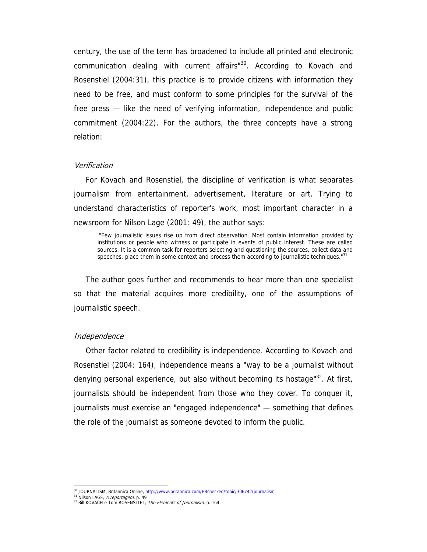century, the use of the term has broadened to include all printed and electronic communication dealing with current affairs"<sup>30</sup>. According to Kovach and Rosenstiel (2004:31), this practice is to provide citizens with information they need to be free, and must conform to some principles for the survival of the free press — like the need of verifying information, independence and public commitment (2004:22). For the authors, the three concepts have a strong relation:

#### Verification

For Kovach and Rosenstiel, the discipline of verification is what separates journalism from entertainment, advertisement, literature or art. Trying to understand characteristics of reporter's work, most important character in a newsroom for Nilson Lage (2001: 49), the author says:

 "Few journalistic issues rise up from direct observation. Most contain information provided by institutions or people who witness or participate in events of public interest. These are called sources. It is a common task for reporters selecting and questioning the sources, collect data and speeches, place them in some context and process them according to journalistic techniques."<sup>31</sup>

The author goes further and recommends to hear more than one specialist so that the material acquires more credibility, one of the assumptions of journalistic speech.

#### Independence

Other factor related to credibility is independence. According to Kovach and Rosenstiel (2004: 164), independence means a "way to be a journalist without denying personal experience, but also without becoming its hostage"<sup>32</sup>. At first, journalists should be independent from those who they cover. To conquer it, journalists must exercise an "engaged independence" — something that defines the role of the journalist as someone devoted to inform the public.

<sup>&</sup>lt;sup>30</sup> JOURNALISM, Britannica Online, http://www.britannica.com/EBchecked/topic/306742/journalism

<sup>31</sup> Nilson LAGE, A reportagem, p. 49<br>32 Bill KOVACH e Tom ROSENSTIEL, The Elements of Journalism, p. 164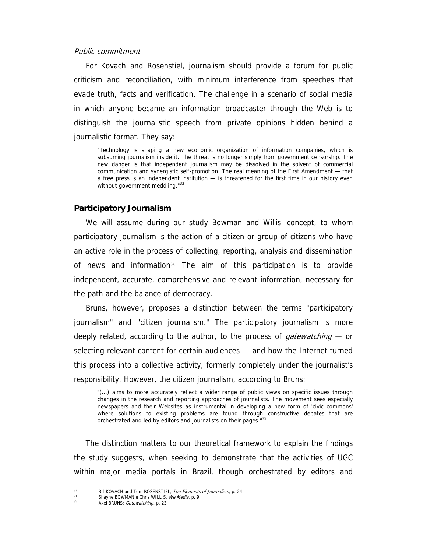#### Public commitment

For Kovach and Rosenstiel, journalism should provide a forum for public criticism and reconciliation, with minimum interference from speeches that evade truth, facts and verification. The challenge in a scenario of social media in which anyone became an information broadcaster through the Web is to distinguish the journalistic speech from private opinions hidden behind a journalistic format. They say:

"Technology is shaping a new economic organization of information companies, which is subsuming journalism inside it. The threat is no longer simply from government censorship. The new danger is that independent journalism may be dissolved in the solvent of commercial communication and synergistic self-promotion. The real meaning of the First Amendment — that a free press is an independent institution — is threatened for the first time in our history even without government meddling."33

#### **Participatory Journalism**

We will assume during our study Bowman and Willis' concept, to whom participatory journalism is the action of a citizen or group of citizens who have an active role in the process of collecting, reporting, analysis and dissemination of news and information $34$ . The aim of this participation is to provide independent, accurate, comprehensive and relevant information, necessary for the path and the balance of democracy.

Bruns, however, proposes a distinction between the terms "participatory journalism" and "citizen journalism." The participatory journalism is more deeply related, according to the author, to the process of *gatewatching* — or selecting relevant content for certain audiences — and how the Internet turned this process into a collective activity, formerly completely under the journalist's responsibility. However, the citizen journalism, according to Bruns:

"(...) aims to more accurately reflect a wider range of public views on specific issues through changes in the research and reporting approaches of journalists. The movement sees especially newspapers and their Websites as instrumental in developing a new form of 'civic commons' where solutions to existing problems are found through constructive debates that are orchestrated and led by editors and journalists on their pages."35

The distinction matters to our theoretical framework to explain the findings the study suggests, when seeking to demonstrate that the activities of UGC within major media portals in Brazil, though orchestrated by editors and

 $33$ <sup>33</sup> Bill KOVACH and Tom ROSENSTIEL, *The Elements of Journalism*, p. 24<br><sup>34</sup> Shoune POWMAN o Chris WILLIS, *Mo Modio* p. 0

<sup>&</sup>lt;sup>34</sup> Shayne BOWMAN e Chris WILLIS, *We Media*, p. 9<br><sup>35</sup> Axel BRUNS; *Gatewatching*, p. 23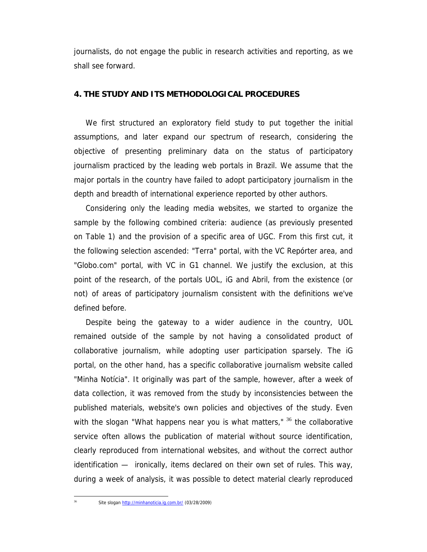journalists, do not engage the public in research activities and reporting, as we shall see forward.

## **4. THE STUDY AND ITS METHODOLOGICAL PROCEDURES**

We first structured an exploratory field study to put together the initial assumptions, and later expand our spectrum of research, considering the objective of presenting preliminary data on the status of participatory journalism practiced by the leading web portals in Brazil. We assume that the major portals in the country have failed to adopt participatory journalism in the depth and breadth of international experience reported by other authors.

Considering only the leading media websites, we started to organize the sample by the following combined criteria: audience (as previously presented on Table 1) and the provision of a specific area of UGC. From this first cut, it the following selection ascended: "Terra" portal, with the VC Repórter area, and "Globo.com" portal, with VC in G1 channel. We justify the exclusion, at this point of the research, of the portals UOL, iG and Abril, from the existence (or not) of areas of participatory journalism consistent with the definitions we've defined before.

Despite being the gateway to a wider audience in the country, UOL remained outside of the sample by not having a consolidated product of collaborative journalism, while adopting user participation sparsely. The iG portal, on the other hand, has a specific collaborative journalism website called "Minha Notícia". It originally was part of the sample, however, after a week of data collection, it was removed from the study by inconsistencies between the published materials, website's own policies and objectives of the study. Even with the slogan "What happens near you is what matters,"  $36$  the collaborative service often allows the publication of material without source identification, clearly reproduced from international websites, and without the correct author identification — ironically, items declared on their own set of rules. This way, during a week of analysis, it was possible to detect material clearly reproduced

Site slogan http://minhanoticia.ig.com.br/ (03/28/2009)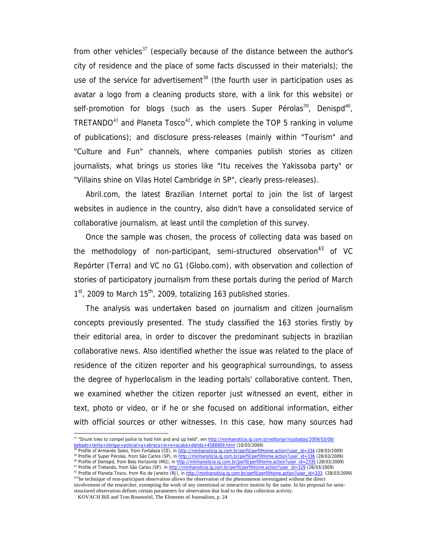from other vehicles<sup>37</sup> (especially because of the distance between the author's city of residence and the place of some facts discussed in their materials); the use of the service for advertisement<sup>38</sup> (the fourth user in participation uses as avatar a logo from a cleaning products store, with a link for this website) or self-promotion for blogs (such as the users Super Pérolas<sup>39</sup>, Denispd<sup>40</sup>, TRETANDO<sup>41</sup> and Planeta Tosco<sup>42</sup>, which complete the TOP 5 ranking in volume of publications); and disclosure press-releases (mainly within "Tourism" and "Culture and Fun" channels, where companies publish stories as citizen journalists, what brings us stories like "Itu receives the Yakissoba party" or "Villains shine on Vilas Hotel Cambridge in SP", clearly press-releases).

Abril.com, the latest Brazilian Internet portal to join the list of largest websites in audience in the country, also didn't have a consolidated service of collaborative journalism, at least until the completion of this survey.

Once the sample was chosen, the process of collecting data was based on the methodology of non-participant, semi-structured observation<sup>43</sup> of VC Repórter (Terra) and VC no G1 (Globo.com), with observation and collection of stories of participatory journalism from these portals during the period of March  $1<sup>st</sup>$ , 2009 to March  $15<sup>th</sup>$ , 2009, totalizing 163 published stories.

The analysis was undertaken based on journalism and citizen journalism concepts previously presented. The study classified the 163 stories firstly by their editorial area, in order to discover the predominant subjects in brazilian collaborative news. Also identified whether the issue was related to the place of residence of the citizen reporter and his geographical surroundings, to assess the degree of hyperlocalism in the leading portals' collaborative content. Then, we examined whether the citizen reporter just witnessed an event, either in text, photo or video, or if he or she focused on additional information, either with official sources or other witnesses. In this case, how many sources had

<sup>&</sup>lt;sup>37</sup> "Drunk tries to compel police to hold him and end up held", em http://minhanoticia.ig.com.br/editoria/Inusitadas/2009/03/08/ bebado+tenta+obrigar+policial+a+abraca+lo+e+acaba+detido+4588909.html (10/03/2009)

<sup>38</sup> Profile of Armando Sales, from Fortaleza (CE), in http://minhanoticia.ig.com.br/perfil/perfill-lome.action?user\_id=334 (28/03/2009) 39 Profile of Super Pérolas, from São Carlos (SP), in http://minhanoticia.ig.com.br/perfil/perfill-lome.action?user\_id=336 (28/03/2009)

<sup>&</sup>lt;sup>40</sup> Profile of Denispd, from Belo Horizonte (MG), in http://minhanoticia.ig.com.br/perfil/perfilHome.action?user\_id=2335 (28/03/2009)

<sup>&</sup>lt;sup>41</sup> Profile of Tretando, from São Carlos (SP), in http://minhanoticia.ig.com.br/perfil/perfilHome.action?user\_id=329 (28/03/2009)

<sup>42</sup> Profile of Planeta Tosco, from Rio de Janeiro (RJ), in http://minhanoticia.ig.com.br/perfil/perfill-lome.action?user\_id=333 (28/03/2009) <sup>43T</sup>he technique of non-participant observation allows the observation of the phenomenon investigated without the direct

involvement of the researcher, exempting the work of any intentional or interactive motion by the same. In his proposal for semistructured observation defines certain parameters for observation that lead to the data collection activity.

KOVACH Bill and Tom Rosenstiel, The Elements of Journalism, p. 24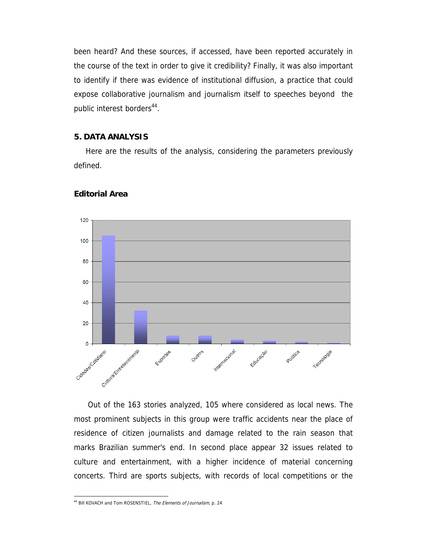been heard? And these sources, if accessed, have been reported accurately in the course of the text in order to give it credibility? Finally, it was also important to identify if there was evidence of institutional diffusion, a practice that could expose collaborative journalism and journalism itself to speeches beyond the public interest borders<sup>44</sup>.

## **5. DATA ANALYSIS**

Here are the results of the analysis, considering the parameters previously defined.



#### **Editorial Area**

Out of the 163 stories analyzed, 105 where considered as local news. The most prominent subjects in this group were traffic accidents near the place of residence of citizen journalists and damage related to the rain season that marks Brazilian summer's end. In second place appear 32 issues related to culture and entertainment, with a higher incidence of material concerning concerts. Third are sports subjects, with records of local competitions or the

<sup>&</sup>lt;sup>44</sup> Bill KOVACH and Tom ROSENSTIEL, The Elements of Journalism, p. 24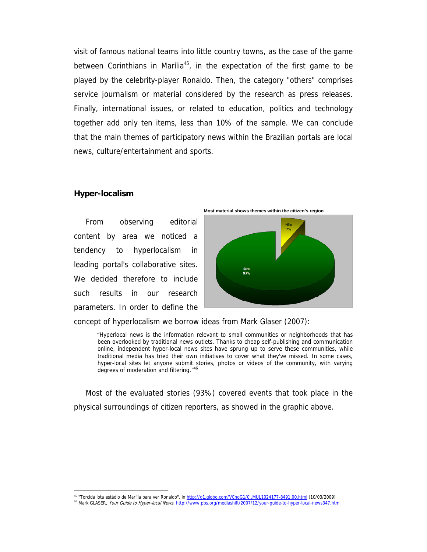visit of famous national teams into little country towns, as the case of the game between Corinthians in Marília<sup>45</sup>, in the expectation of the first game to be played by the celebrity-player Ronaldo. Then, the category "others" comprises service journalism or material considered by the research as press releases. Finally, international issues, or related to education, politics and technology together add only ten items, less than 10% of the sample. We can conclude that the main themes of participatory news within the Brazilian portals are local news, culture/entertainment and sports.

#### **Hyper-localism**

 $\overline{a}$ 

From observing editorial content by area we noticed a tendency to hyperlocalism in leading portal's collaborative sites. We decided therefore to include such results in our research parameters. In order to define the





concept of hyperlocalism we borrow ideas from Mark Glaser (2007):

"Hyperlocal news is the information relevant to small communities or neighborhoods that has been overlooked by traditional news outlets. Thanks to cheap self-publishing and communication online, independent hyper-local news sites have sprung up to serve these communities, while traditional media has tried their own initiatives to cover what they've missed. In some cases, hyper-local sites let anyone submit stories, photos or videos of the community, with varying degrees of moderation and filtering."46

Most of the evaluated stories (93%) covered events that took place in the physical surroundings of citizen reporters, as showed in the graphic above.

<sup>&</sup>lt;sup>45</sup> "Torcida lota estádio de Marília para ver Ronaldo", in <u>http://g1.globo.com/VCnoG1/0,,MUL1024177-8491,00.html</u> (10/03/2009)<br><sup>46</sup> Mark GLASER, *Your Guide to Hyper-local News*, <u>http://www.pbs.org/mediashift/2007/12/yo</u>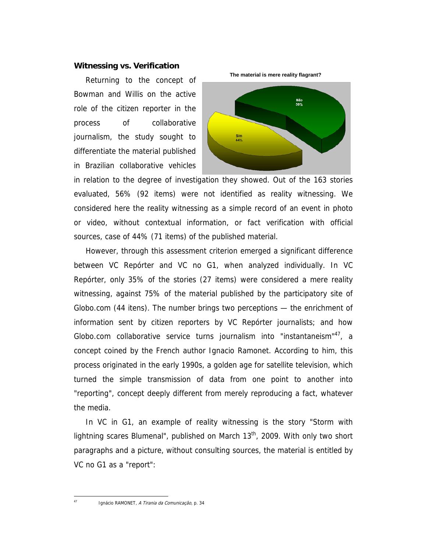## **Witnessing vs. Verification**

Returning to the concept of Bowman and Willis on the active role of the citizen reporter in the process of collaborative journalism, the study sought to differentiate the material published in Brazilian collaborative vehicles



in relation to the degree of investigation they showed. Out of the 163 stories evaluated, 56% (92 items) were not identified as reality witnessing. We considered here the reality witnessing as a simple record of an event in photo or video, without contextual information, or fact verification with official sources, case of 44% (71 items) of the published material.

However, through this assessment criterion emerged a significant difference between VC Repórter and VC no G1, when analyzed individually. In VC Repórter, only 35% of the stories (27 items) were considered a mere reality witnessing, against 75% of the material published by the participatory site of Globo.com (44 itens). The number brings two perceptions — the enrichment of information sent by citizen reporters by VC Repórter journalists; and how Globo.com collaborative service turns journalism into "instantaneism"<sup>47</sup>, a concept coined by the French author Ignacio Ramonet. According to him, this process originated in the early 1990s, a golden age for satellite television, which turned the simple transmission of data from one point to another into "reporting", concept deeply different from merely reproducing a fact, whatever the media.

In VC in G1, an example of reality witnessing is the story "Storm with lightning scares Blumenal", published on March  $13<sup>th</sup>$ , 2009. With only two short paragraphs and a picture, without consulting sources, the material is entitled by VC no G1 as a "report":

 $47$ 

Ignácio RAMONET, A Tirania da Comunicação, p. 34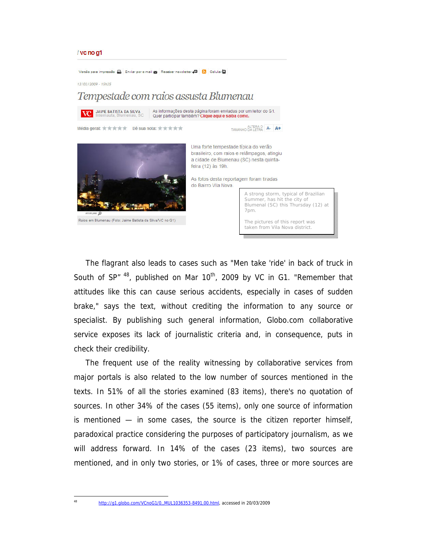#### / vc no g1



The flagrant also leads to cases such as "Men take 'ride' in back of truck in South of SP"  $48$ , published on Mar 10<sup>th</sup>, 2009 by VC in G1. "Remember that attitudes like this can cause serious accidents, especially in cases of sudden brake," says the text, without crediting the information to any source or specialist. By publishing such general information, Globo.com collaborative service exposes its lack of journalistic criteria and, in consequence, puts in check their credibility.

The frequent use of the reality witnessing by collaborative services from major portals is also related to the low number of sources mentioned in the texts. In 51% of all the stories examined (83 items), there's no quotation of sources. In other 34% of the cases (55 items), only one source of information is mentioned — in some cases, the source is the citizen reporter himself, paradoxical practice considering the purposes of participatory journalism, as we will address forward. In 14% of the cases (23 items), two sources are mentioned, and in only two stories, or 1% of cases, three or more sources are

http://g1.globo.com/VCnoG1/0,,MUL1036353-8491,00.html, accessed in 20/03/2009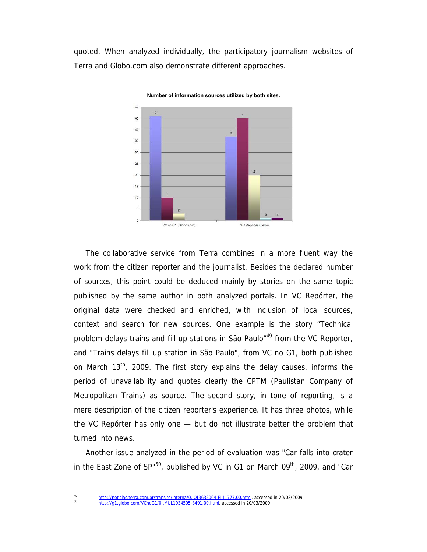quoted. When analyzed individually, the participatory journalism websites of Terra and Globo.com also demonstrate different approaches.



**Number of information sources utilized by both sites.**

The collaborative service from Terra combines in a more fluent way the work from the citizen reporter and the journalist. Besides the declared number of sources, this point could be deduced mainly by stories on the same topic published by the same author in both analyzed portals. In VC Repórter, the original data were checked and enriched, with inclusion of local sources, context and search for new sources. One example is the story "Technical problem delays trains and fill up stations in Sâo Paulo<sup>"49</sup> from the VC Repórter, and "Trains delays fill up station in São Paulo", from VC no G1, both published on March 13<sup>th</sup>, 2009. The first story explains the delay causes, informs the period of unavailability and quotes clearly the CPTM (Paulistan Company of Metropolitan Trains) as source. The second story, in tone of reporting, is a mere description of the citizen reporter's experience. It has three photos, while the VC Repórter has only one — but do not illustrate better the problem that turned into news.

Another issue analyzed in the period of evaluation was "Car falls into crater in the East Zone of  $SP^{150}$ , published by VC in G1 on March 09<sup>th</sup>, 2009, and "Car

<sup>&</sup>lt;sup>49</sup> http://noticias.terra.com.br/transito/interna/0,,OI3632064-EI11777,00.html, accessed in 20/03/2009<br><sup>50</sup> http://g1.globo.com/VCnoG1/0,,MUL1034505-8491,00.html, accessed in 20/03/2009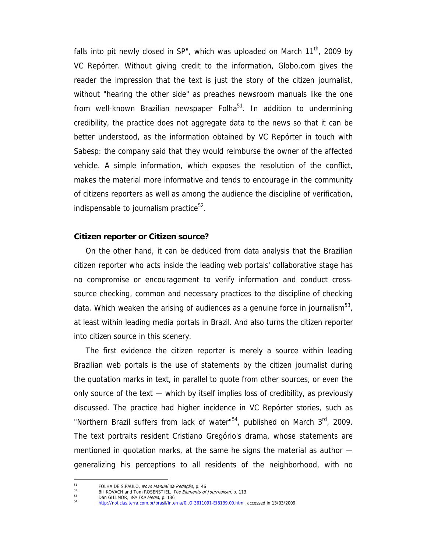falls into pit newly closed in SP", which was uploaded on March  $11<sup>th</sup>$ , 2009 by VC Repórter. Without giving credit to the information, Globo.com gives the reader the impression that the text is just the story of the citizen journalist, without "hearing the other side" as preaches newsroom manuals like the one from well-known Brazilian newspaper Folha $51$ . In addition to undermining credibility, the practice does not aggregate data to the news so that it can be better understood, as the information obtained by VC Repórter in touch with Sabesp: the company said that they would reimburse the owner of the affected vehicle. A simple information, which exposes the resolution of the conflict, makes the material more informative and tends to encourage in the community of citizens reporters as well as among the audience the discipline of verification, indispensable to journalism practice $52$ .

## **Citizen reporter or Citizen source?**

On the other hand, it can be deduced from data analysis that the Brazilian citizen reporter who acts inside the leading web portals' collaborative stage has no compromise or encouragement to verify information and conduct crosssource checking, common and necessary practices to the discipline of checking data. Which weaken the arising of audiences as a genuine force in journalism<sup>53</sup>, at least within leading media portals in Brazil. And also turns the citizen reporter into citizen source in this scenery.

The first evidence the citizen reporter is merely a source within leading Brazilian web portals is the use of statements by the citizen journalist during the quotation marks in text, in parallel to quote from other sources, or even the only source of the text — which by itself implies loss of credibility, as previously discussed. The practice had higher incidence in VC Repórter stories, such as "Northern Brazil suffers from lack of water" $54$ , published on March  $3<sup>rd</sup>$ , 2009. The text portraits resident Cristiano Gregório's drama, whose statements are mentioned in quotation marks, at the same he signs the material as author generalizing his perceptions to all residents of the neighborhood, with no

<sup>&</sup>lt;sup>51</sup> FOLHA DE S.PAULO, *Novo Manual da Redação*, p. 46<br>
<sup>52</sup> Bill KOVACH and Tom ROSENSTIEL, *The Elements of Journalism*, p. 113<br>
Dan GILLMOR, *We The Media*, p. 136<br>
<sup>54</sup> http://noticias.terra.com.br/brasil/interna/0, 01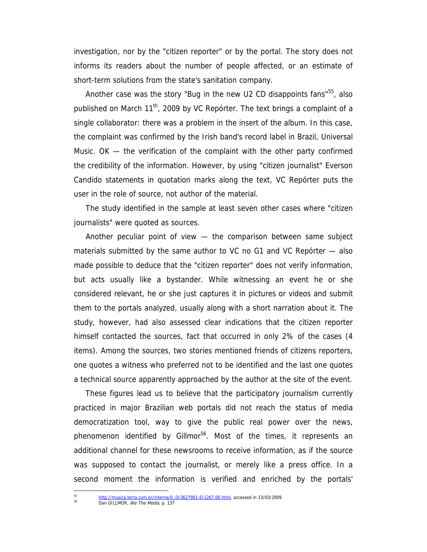investigation, nor by the "citizen reporter" or by the portal. The story does not informs its readers about the number of people affected, or an estimate of short-term solutions from the state's sanitation company.

Another case was the story "Bug in the new U2 CD disappoints fans"<sup>55</sup>, also published on March 11<sup>th</sup>, 2009 by VC Repórter. The text brings a complaint of a single collaborator: there was a problem in the insert of the album. In this case, the complaint was confirmed by the Irish band's record label in Brazil, Universal Music. OK — the verification of the complaint with the other party confirmed the credibility of the information. However, by using "citizen journalist" Everson Candido statements in quotation marks along the text, VC Repórter puts the user in the role of source, not author of the material.

The study identified in the sample at least seven other cases where "citizen journalists" were quoted as sources.

Another peculiar point of view — the comparison between same subject materials submitted by the same author to VC no G1 and VC Repórter — also made possible to deduce that the "citizen reporter" does not verify information, but acts usually like a bystander. While witnessing an event he or she considered relevant, he or she just captures it in pictures or videos and submit them to the portals analyzed, usually along with a short narration about it. The study, however, had also assessed clear indications that the citizen reporter himself contacted the sources, fact that occurred in only 2% of the cases (4 items). Among the sources, two stories mentioned friends of citizens reporters, one quotes a witness who preferred not to be identified and the last one quotes a technical source apparently approached by the author at the site of the event.

These figures lead us to believe that the participatory journalism currently practiced in major Brazilian web portals did not reach the status of media democratization tool, way to give the public real power over the news, phenomenon identified by Gillmor<sup>56</sup>. Most of the times, it represents an additional channel for these newsrooms to receive information, as if the source was supposed to contact the journalist, or merely like a press office. In a second moment the information is verified and enriched by the portals'

 $\overline{a}$ 

<sup>55</sup> http://musica.terra.com.br/interna/0,,OI3627901-EI1267,00.html, accessed in 13/03/2009<br>Dan GILLMOR, We The Media, p. 137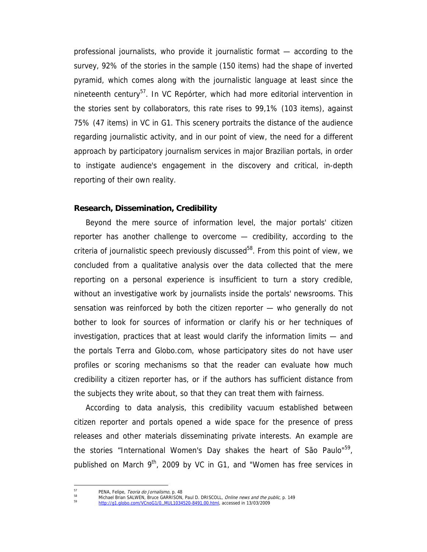professional journalists, who provide it journalistic format — according to the survey, 92% of the stories in the sample (150 items) had the shape of inverted pyramid, which comes along with the journalistic language at least since the nineteenth century<sup>57</sup>. In VC Repórter, which had more editorial intervention in the stories sent by collaborators, this rate rises to 99,1% (103 items), against 75% (47 items) in VC in G1. This scenery portraits the distance of the audience regarding journalistic activity, and in our point of view, the need for a different approach by participatory journalism services in major Brazilian portals, in order to instigate audience's engagement in the discovery and critical, in-depth reporting of their own reality.

#### **Research, Dissemination, Credibility**

Beyond the mere source of information level, the major portals' citizen reporter has another challenge to overcome — credibility, according to the criteria of journalistic speech previously discussed<sup>58</sup>. From this point of view, we concluded from a qualitative analysis over the data collected that the mere reporting on a personal experience is insufficient to turn a story credible, without an investigative work by journalists inside the portals' newsrooms. This sensation was reinforced by both the citizen reporter — who generally do not bother to look for sources of information or clarify his or her techniques of investigation, practices that at least would clarify the information limits — and the portals Terra and Globo.com, whose participatory sites do not have user profiles or scoring mechanisms so that the reader can evaluate how much credibility a citizen reporter has, or if the authors has sufficient distance from the subjects they write about, so that they can treat them with fairness.

According to data analysis, this credibility vacuum established between citizen reporter and portals opened a wide space for the presence of press releases and other materials disseminating private interests. An example are the stories "International Women's Day shakes the heart of São Paulo"<sup>59</sup>, published on March  $9^{th}$ , 2009 by VC in G1, and "Women has free services in

 $57$ 

<sup>57</sup> PENA, Felipe, *Teoria do Jornalismo*, p. 48<br><sup>58</sup> Michael Brian SALWEN, Bruce GARRISON, Paul D. DRISCOLL, *Online news and the public*, p. 149<br>*59* http://g1.globo.com/VCnoG1/0,,MUL1034520-8491,00.html, accessed in 13/0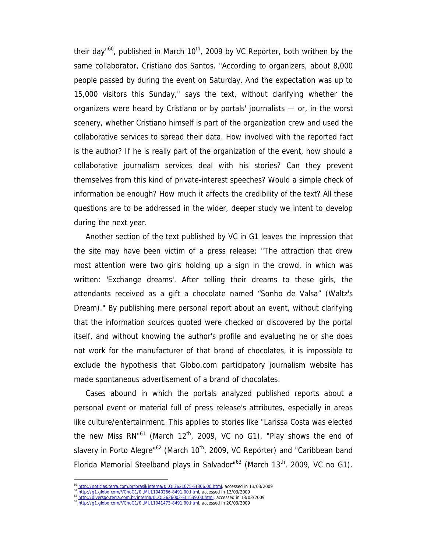their day"<sup>60</sup>, published in March  $10<sup>th</sup>$ , 2009 by VC Repórter, both writhen by the same collaborator, Cristiano dos Santos. "According to organizers, about 8,000 people passed by during the event on Saturday. And the expectation was up to 15,000 visitors this Sunday," says the text, without clarifying whether the organizers were heard by Cristiano or by portals' journalists — or, in the worst scenery, whether Cristiano himself is part of the organization crew and used the collaborative services to spread their data. How involved with the reported fact is the author? If he is really part of the organization of the event, how should a collaborative journalism services deal with his stories? Can they prevent themselves from this kind of private-interest speeches? Would a simple check of information be enough? How much it affects the credibility of the text? All these questions are to be addressed in the wider, deeper study we intent to develop during the next year.

Another section of the text published by VC in G1 leaves the impression that the site may have been victim of a press release: "The attraction that drew most attention were two girls holding up a sign in the crowd, in which was written: 'Exchange dreams'. After telling their dreams to these girls, the attendants received as a gift a chocolate named "Sonho de Valsa" (Waltz's Dream)." By publishing mere personal report about an event, without clarifying that the information sources quoted were checked or discovered by the portal itself, and without knowing the author's profile and evalueting he or she does not work for the manufacturer of that brand of chocolates, it is impossible to exclude the hypothesis that Globo.com participatory journalism website has made spontaneous advertisement of a brand of chocolates.

Cases abound in which the portals analyzed published reports about a personal event or material full of press release's attributes, especially in areas like culture/entertainment. This applies to stories like "Larissa Costa was elected the new Miss  $RN<sup>61</sup>$  (March 12<sup>th</sup>, 2009, VC no G1), "Play shows the end of slavery in Porto Alegre"<sup>62</sup> (March 10<sup>th</sup>, 2009, VC Repórter) and "Caribbean band Florida Memorial Steelband plays in Salvador" $63$  (March 13<sup>th</sup>, 2009, VC no G1).

<sup>&</sup>lt;sup>60</sup> http://noticias.terra.com.br/brasil/interna/0,,013621075-E1306,00.html, accessed in 13/03/2009<br><sup>61</sup> http://g1.globo.com/VCnoG1/0,,MUL1040266-8491,00.html, accessed in 13/03/2009<br><sup>62</sup> http://diversao.terra.com.br/inte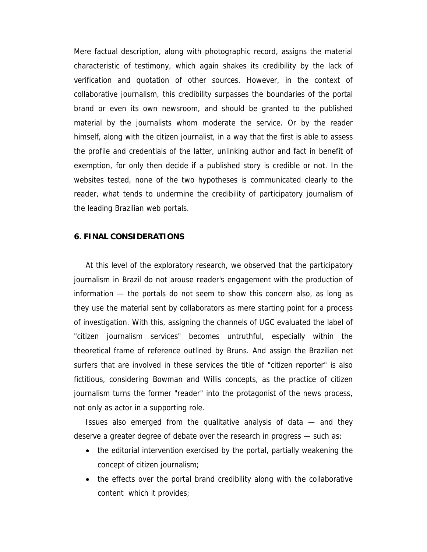Mere factual description, along with photographic record, assigns the material characteristic of testimony, which again shakes its credibility by the lack of verification and quotation of other sources. However, in the context of collaborative journalism, this credibility surpasses the boundaries of the portal brand or even its own newsroom, and should be granted to the published material by the journalists whom moderate the service. Or by the reader himself, along with the citizen journalist, in a way that the first is able to assess the profile and credentials of the latter, unlinking author and fact in benefit of exemption, for only then decide if a published story is credible or not. In the websites tested, none of the two hypotheses is communicated clearly to the reader, what tends to undermine the credibility of participatory journalism of the leading Brazilian web portals.

#### **6. FINAL CONSIDERATIONS**

At this level of the exploratory research, we observed that the participatory journalism in Brazil do not arouse reader's engagement with the production of information — the portals do not seem to show this concern also, as long as they use the material sent by collaborators as mere starting point for a process of investigation. With this, assigning the channels of UGC evaluated the label of "citizen journalism services" becomes untruthful, especially within the theoretical frame of reference outlined by Bruns. And assign the Brazilian net surfers that are involved in these services the title of "citizen reporter" is also fictitious, considering Bowman and Willis concepts, as the practice of citizen journalism turns the former "reader" into the protagonist of the news process, not only as actor in a supporting role.

Issues also emerged from the qualitative analysis of data — and they deserve a greater degree of debate over the research in progress — such as:

- the editorial intervention exercised by the portal, partially weakening the concept of citizen journalism;
- the effects over the portal brand credibility along with the collaborative content which it provides;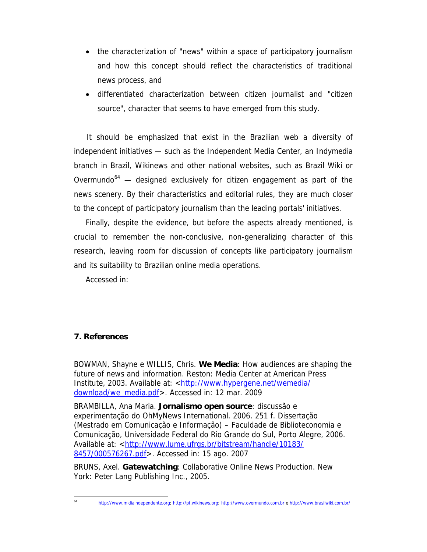- the characterization of "news" within a space of participatory journalism and how this concept should reflect the characteristics of traditional news process, and
- differentiated characterization between citizen journalist and "citizen source", character that seems to have emerged from this study.

 It should be emphasized that exist in the Brazilian web a diversity of independent initiatives — such as the Independent Media Center, an Indymedia branch in Brazil, Wikinews and other national websites, such as Brazil Wiki or Overmundo<sup>64</sup>  $-$  designed exclusively for citizen engagement as part of the news scenery. By their characteristics and editorial rules, they are much closer to the concept of participatory journalism than the leading portals' initiatives.

Finally, despite the evidence, but before the aspects already mentioned, is crucial to remember the non-conclusive, non-generalizing character of this research, leaving room for discussion of concepts like participatory journalism and its suitability to Brazilian online media operations.

Accessed in:

## **7. References**

BOWMAN, Shayne e WILLIS, Chris. **We Media**: How audiences are shaping the future of news and information. Reston: Media Center at American Press Institute, 2003. Available at: <http://www.hypergene.net/wemedia/ download/we\_media.pdf>. Accessed in: 12 mar. 2009

BRAMBILLA, Ana Maria. **Jornalismo open source**: discussão e experimentação do OhMyNews International. 2006. 251 f. Dissertação (Mestrado em Comunicação e Informação) – Faculdade de Biblioteconomia e Comunicação, Universidade Federal do Rio Grande do Sul, Porto Alegre, 2006. Available at: <http://www.lume.ufrgs.br/bitstream/handle/10183/ 8457/000576267.pdf>. Accessed in: 15 ago. 2007

BRUNS, Axel. **Gatewatching**: Collaborative Online News Production. New York: Peter Lang Publishing Inc., 2005.

<sup>64</sup> http://www.midiaindependente.org; http://pt.wikinews.org; http://www.overmundo.com.br e http://www.brasilwiki.com.br/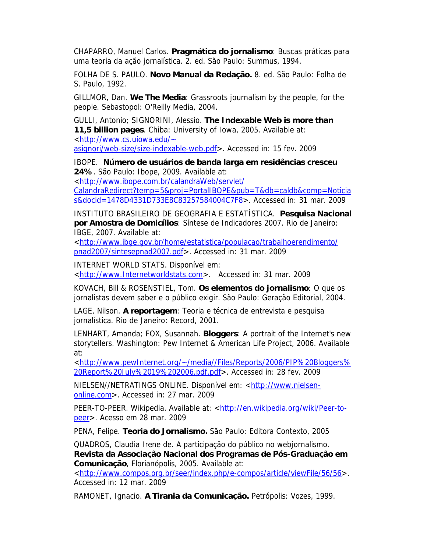CHAPARRO, Manuel Carlos. **Pragmática do jornalismo**: Buscas práticas para uma teoria da ação jornalística. 2. ed. São Paulo: Summus, 1994.

FOLHA DE S. PAULO. **Novo Manual da Redação.** 8. ed. São Paulo: Folha de S. Paulo, 1992.

GILLMOR, Dan. **We The Media**: Grassroots journalism by the people, for the people. Sebastopol: O'Reilly Media, 2004.

GULLI, Antonio; SIGNORINI, Alessio. **The Indexable Web is more than 11,5 billion pages**. Chiba: University of Iowa, 2005. Available at: <http://www.cs.uiowa.edu/~ asignori/web-size/size-indexable-web.pdf>. Accessed in: 15 fev. 2009

IBOPE. **Número de usuários de banda larga em residências cresceu 24%**. São Paulo: Ibope, 2009. Available at:

<http://www.ibope.com.br/calandraWeb/servlet/

CalandraRedirect?temp=5&proj=PortalIBOPE&pub=T&db=caldb&comp=Noticia s&docid=1478D4331D733E8C83257584004C7F8>. Accessed in: 31 mar. 2009

INSTITUTO BRASILEIRO DE GEOGRAFIA E ESTATÍSTICA. **Pesquisa Nacional por Amostra de Domicílios**: Síntese de Indicadores 2007. Rio de Janeiro: IBGE, 2007. Available at:

<http://www.ibge.gov.br/home/estatistica/populacao/trabalhoerendimento/ pnad2007/sintesepnad2007.pdf>. Accessed in: 31 mar. 2009

INTERNET WORLD STATS. Disponível em:

<http://www.Internetworldstats.com>. Accessed in: 31 mar. 2009

KOVACH, Bill & ROSENSTIEL, Tom. **Os elementos do jornalismo**: O que os jornalistas devem saber e o público exigir. São Paulo: Geração Editorial, 2004.

LAGE, Nilson. **A reportagem**: Teoria e técnica de entrevista e pesquisa jornalística. Rio de Janeiro: Record, 2001.

LENHART, Amanda; FOX, Susannah. **Bloggers**: A portrait of the Internet's new storytellers. Washington: Pew Internet & American Life Project, 2006. Available at:

<http://www.pewInternet.org/~/media//Files/Reports/2006/PIP%20Bloggers% 20Report%20July%2019%202006.pdf.pdf>. Accessed in: 28 fev. 2009

NIELSEN//NETRATINGS ONLINE. Disponível em: <http://www.nielsenonline.com>. Accessed in: 27 mar. 2009

PEER-TO-PEER. Wikipedia. Available at: <http://en.wikipedia.org/wiki/Peer-topeer>. Acesso em 28 mar. 2009

PENA, Felipe. **Teoria do Jornalismo.** São Paulo: Editora Contexto, 2005

QUADROS, Claudia Irene de. A participação do público no webjornalismo. **Revista da Associação Nacional dos Programas de Pós-Graduação em Comunicação**, Florianópolis, 2005. Available at:

<http://www.compos.org.br/seer/index.php/e-compos/article/viewFile/56/56>. Accessed in: 12 mar. 2009

RAMONET, Ignacio. **A Tirania da Comunicação.** Petrópolis: Vozes, 1999.